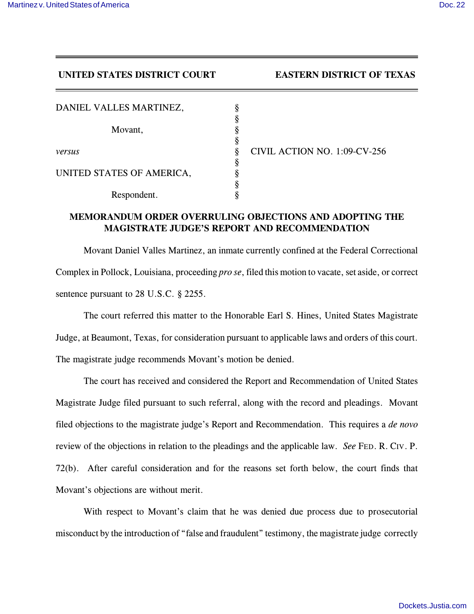**UNITED STATES DISTRICT COURT EASTERN DISTRICT OF TEXAS** 

| DANIEL VALLES MARTINEZ,   |                              |
|---------------------------|------------------------------|
|                           |                              |
| Movant,                   |                              |
|                           |                              |
| versus                    | CIVIL ACTION NO. 1:09-CV-256 |
|                           |                              |
| UNITED STATES OF AMERICA, |                              |
|                           |                              |
| Respondent.               |                              |

## **MEMORANDUM ORDER OVERRULING OBJECTIONS AND ADOPTING THE MAGISTRATE JUDGE'S REPORT AND RECOMMENDATION**

Movant Daniel Valles Martinez, an inmate currently confined at the Federal Correctional Complex in Pollock, Louisiana, proceeding *pro se*, filed this motion to vacate, set aside, or correct sentence pursuant to 28 U.S.C. § 2255.

The court referred this matter to the Honorable Earl S. Hines, United States Magistrate Judge, at Beaumont, Texas, for consideration pursuant to applicable laws and orders of this court. The magistrate judge recommends Movant's motion be denied.

The court has received and considered the Report and Recommendation of United States Magistrate Judge filed pursuant to such referral, along with the record and pleadings. Movant filed objections to the magistrate judge's Report and Recommendation. This requires a *de novo* review of the objections in relation to the pleadings and the applicable law. *See* FED. R. CIV. P. 72(b). After careful consideration and for the reasons set forth below, the court finds that Movant's objections are without merit.

With respect to Movant's claim that he was denied due process due to prosecutorial misconduct by the introduction of "false and fraudulent" testimony, the magistrate judge correctly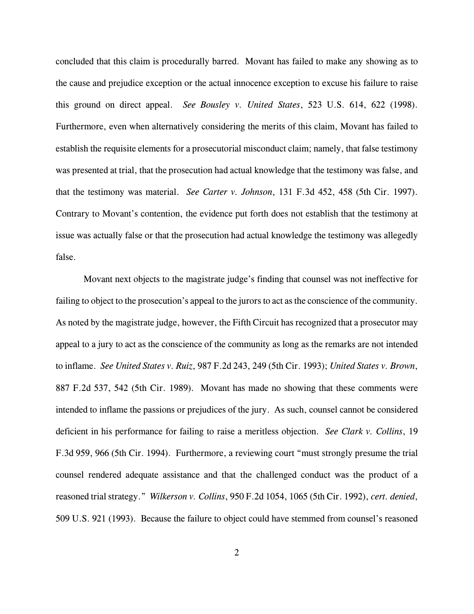concluded that this claim is procedurally barred. Movant has failed to make any showing as to the cause and prejudice exception or the actual innocence exception to excuse his failure to raise this ground on direct appeal. *See Bousley v. United States*, 523 U.S. 614, 622 (1998). Furthermore, even when alternatively considering the merits of this claim, Movant has failed to establish the requisite elements for a prosecutorial misconduct claim; namely, that false testimony was presented at trial, that the prosecution had actual knowledge that the testimony was false, and that the testimony was material. *See Carter v. Johnson*, 131 F.3d 452, 458 (5th Cir. 1997). Contrary to Movant's contention, the evidence put forth does not establish that the testimony at issue was actually false or that the prosecution had actual knowledge the testimony was allegedly false.

Movant next objects to the magistrate judge's finding that counsel was not ineffective for failing to object to the prosecution's appeal to the jurors to act as the conscience of the community. As noted by the magistrate judge, however, the Fifth Circuit has recognized that a prosecutor may appeal to a jury to act as the conscience of the community as long as the remarks are not intended to inflame. *See United States v. Ruiz*, 987 F.2d 243, 249 (5th Cir. 1993); *United States v. Brown*, 887 F.2d 537, 542 (5th Cir. 1989). Movant has made no showing that these comments were intended to inflame the passions or prejudices of the jury. As such, counsel cannot be considered deficient in his performance for failing to raise a meritless objection. *See Clark v. Collins*, 19 F.3d 959, 966 (5th Cir. 1994). Furthermore, a reviewing court "must strongly presume the trial counsel rendered adequate assistance and that the challenged conduct was the product of a reasoned trial strategy." *Wilkerson v. Collins*, 950 F.2d 1054, 1065 (5th Cir. 1992), *cert. denied*, 509 U.S. 921 (1993). Because the failure to object could have stemmed from counsel's reasoned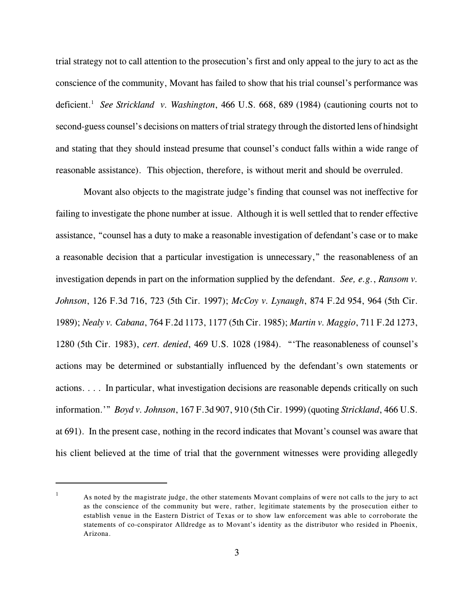trial strategy not to call attention to the prosecution's first and only appeal to the jury to act as the conscience of the community, Movant has failed to show that his trial counsel's performance was deficient.<sup>1</sup> See Strickland v. Washington, 466 U.S. 668, 689 (1984) (cautioning courts not to second-guess counsel's decisions on matters of trial strategy through the distorted lens of hindsight and stating that they should instead presume that counsel's conduct falls within a wide range of reasonable assistance). This objection, therefore, is without merit and should be overruled.

Movant also objects to the magistrate judge's finding that counsel was not ineffective for failing to investigate the phone number at issue. Although it is well settled that to render effective assistance, "counsel has a duty to make a reasonable investigation of defendant's case or to make a reasonable decision that a particular investigation is unnecessary," the reasonableness of an investigation depends in part on the information supplied by the defendant. *See, e.g.*, *Ransom v. Johnson*, 126 F.3d 716, 723 (5th Cir. 1997); *McCoy v. Lynaugh*, 874 F.2d 954, 964 (5th Cir. 1989); *Nealy v. Cabana*, 764 F.2d 1173, 1177 (5th Cir. 1985); *Martin v. Maggio*, 711 F.2d 1273, 1280 (5th Cir. 1983), *cert. denied*, 469 U.S. 1028 (1984). "'The reasonableness of counsel's actions may be determined or substantially influenced by the defendant's own statements or actions. . . . In particular, what investigation decisions are reasonable depends critically on such information.'" *Boyd v. Johnson*, 167 F.3d 907, 910 (5th Cir. 1999) (quoting *Strickland*, 466 U.S. at 691). In the present case, nothing in the record indicates that Movant's counsel was aware that his client believed at the time of trial that the government witnesses were providing allegedly

 $\mu$  As noted by the magistrate judge, the other statements Movant complains of were not calls to the jury to act as the conscience of the community but were, rather, legitimate statements by the prosecution either to establish venue in the Eastern District of Texas or to show law enforcement was able to corroborate the statements of co-conspirator Alldredge as to Movant's identity as the distributor who resided in Phoenix, Arizona.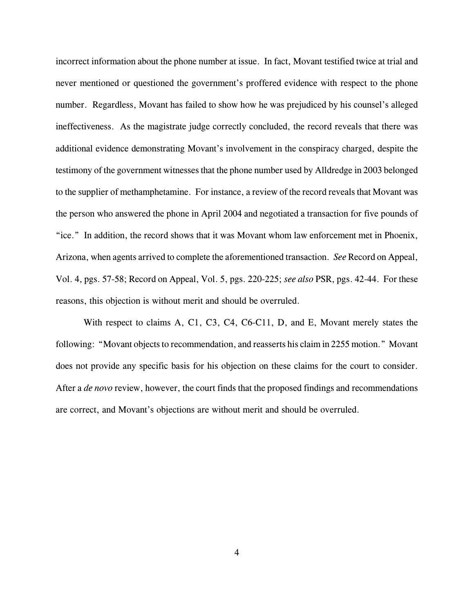incorrect information about the phone number at issue. In fact, Movant testified twice at trial and never mentioned or questioned the government's proffered evidence with respect to the phone number. Regardless, Movant has failed to show how he was prejudiced by his counsel's alleged ineffectiveness. As the magistrate judge correctly concluded, the record reveals that there was additional evidence demonstrating Movant's involvement in the conspiracy charged, despite the testimony of the government witnesses that the phone number used by Alldredge in 2003 belonged to the supplier of methamphetamine. For instance, a review of the record reveals that Movant was the person who answered the phone in April 2004 and negotiated a transaction for five pounds of "ice." In addition, the record shows that it was Movant whom law enforcement met in Phoenix, Arizona, when agents arrived to complete the aforementioned transaction. *See* Record on Appeal, Vol. 4, pgs. 57-58; Record on Appeal, Vol. 5, pgs. 220-225; *see also* PSR, pgs. 42-44. For these reasons, this objection is without merit and should be overruled.

With respect to claims A, C1, C3, C4, C6-C11, D, and E, Movant merely states the following: "Movant objects to recommendation, and reasserts his claim in 2255 motion." Movant does not provide any specific basis for his objection on these claims for the court to consider. After a *de novo* review, however, the court finds that the proposed findings and recommendations are correct, and Movant's objections are without merit and should be overruled.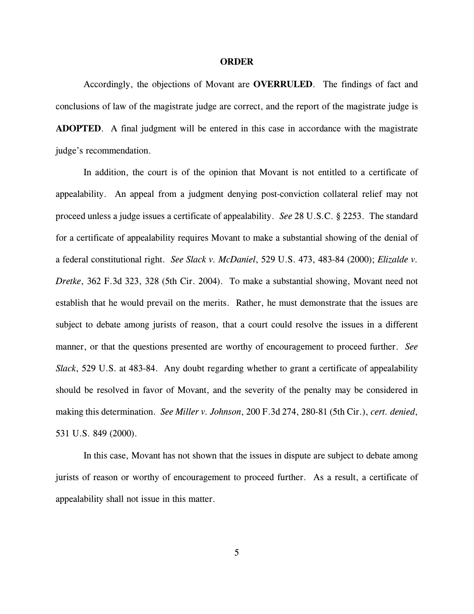## **ORDER**

Accordingly, the objections of Movant are **OVERRULED**. The findings of fact and conclusions of law of the magistrate judge are correct, and the report of the magistrate judge is **ADOPTED**.A final judgment will be entered in this case in accordance with the magistrate judge's recommendation.

In addition, the court is of the opinion that Movant is not entitled to a certificate of appealability. An appeal from a judgment denying post-conviction collateral relief may not proceed unless a judge issues a certificate of appealability. *See* 28 U.S.C. § 2253. The standard for a certificate of appealability requires Movant to make a substantial showing of the denial of a federal constitutional right. *See Slack v. McDaniel*, 529 U.S. 473, 483-84 (2000); *Elizalde v. Dretke*, 362 F.3d 323, 328 (5th Cir. 2004). To make a substantial showing, Movant need not establish that he would prevail on the merits. Rather, he must demonstrate that the issues are subject to debate among jurists of reason, that a court could resolve the issues in a different manner, or that the questions presented are worthy of encouragement to proceed further. *See Slack*, 529 U.S. at 483-84. Any doubt regarding whether to grant a certificate of appealability should be resolved in favor of Movant, and the severity of the penalty may be considered in making this determination. *See Miller v. Johnson*, 200 F.3d 274, 280-81 (5th Cir.), *cert. denied*, 531 U.S. 849 (2000).

In this case, Movant has not shown that the issues in dispute are subject to debate among jurists of reason or worthy of encouragement to proceed further. As a result, a certificate of appealability shall not issue in this matter.